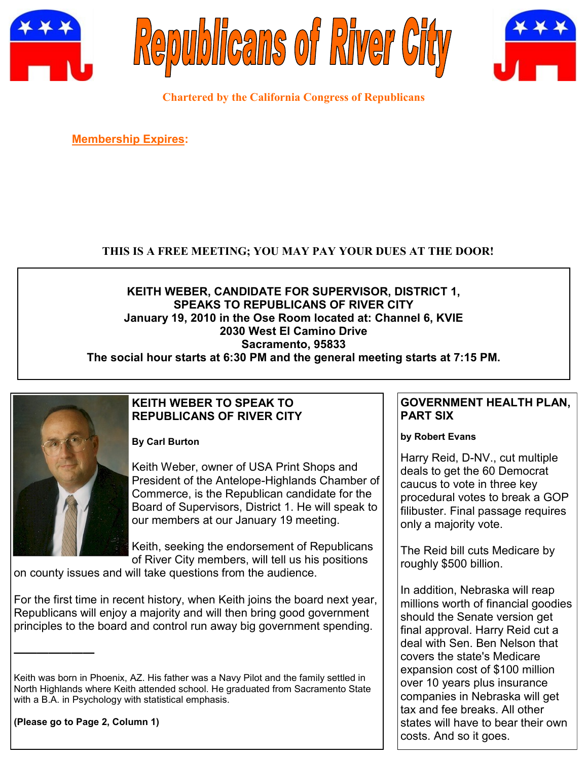





**Chartered by the California Congress of Republicans**

**Membership Expires:** 

## **THIS IS A FREE MEETING; YOU MAY PAY YOUR DUES AT THE DOOR!**

## **KEITH WEBER, CANDIDATE FOR SUPERVISOR, DISTRICT 1, SPEAKS TO REPUBLICANS OF RIVER CITY January 19, 2010 in the Ose Room located at: Channel 6, KVIE 2030 West El Camino Drive Sacramento, 95833**

**The social hour starts at 6:30 PM and the general meeting starts at 7:15 PM.**



## **KEITH WEBER TO SPEAK TO REPUBLICANS OF RIVER CITY**

**By Carl Burton**

Keith Weber, owner of USA Print Shops and President of the Antelope-Highlands Chamber of Commerce, is the Republican candidate for the Board of Supervisors, District 1. He will speak to our members at our January 19 meeting.

Keith, seeking the endorsement of Republicans of River City members, will tell us his positions

on county issues and will take questions from the audience.

For the first time in recent history, when Keith joins the board next year, Republicans will enjoy a majority and will then bring good government principles to the board and control run away big government spending.

**(Please go to Page 2, Column 1)**

**———————**

## **GOVERNMENT HEALTH PLAN, PART SIX**

#### **by Robert Evans**

Harry Reid, D-NV., cut multiple deals to get the 60 Democrat caucus to vote in three key procedural votes to break a GOP filibuster. Final passage requires only a majority vote.

The Reid bill cuts Medicare by roughly \$500 billion.

In addition, Nebraska will reap millions worth of financial goodies should the Senate version get final approval. Harry Reid cut a deal with Sen. Ben Nelson that covers the state's Medicare expansion cost of \$100 million over 10 years plus insurance companies in Nebraska will get tax and fee breaks. All other states will have to bear their own costs. And so it goes.

Keith was born in Phoenix, AZ. His father was a Navy Pilot and the family settled in North Highlands where Keith attended school. He graduated from Sacramento State with a B.A. in Psychology with statistical emphasis.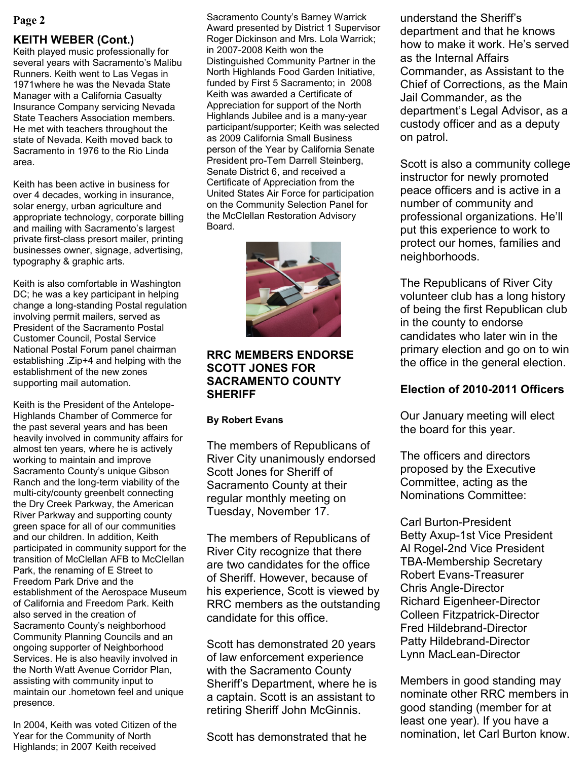#### **KEITH WEBER (Cont.)**

Keith played music professionally for several years with Sacramento's Malibu Runners. Keith went to Las Vegas in 1971where he was the Nevada State Manager with a California Casualty Insurance Company servicing Nevada State Teachers Association members. He met with teachers throughout the state of Nevada. Keith moved back to Sacramento in 1976 to the Rio Linda area.

Keith has been active in business for over 4 decades, working in insurance, solar energy, urban agriculture and appropriate technology, corporate billing and mailing with Sacramento's largest private first-class presort mailer, printing businesses owner, signage, advertising, typography & graphic arts.

Keith is also comfortable in Washington DC; he was a key participant in helping change a long-standing Postal regulation involving permit mailers, served as President of the Sacramento Postal Customer Council, Postal Service National Postal Forum panel chairman establishing .Zip+4 and helping with the establishment of the new zones supporting mail automation.

Keith is the President of the Antelope-Highlands Chamber of Commerce for the past several years and has been heavily involved in community affairs for almost ten years, where he is actively working to maintain and improve Sacramento County's unique Gibson Ranch and the long-term viability of the multi-city/county greenbelt connecting the Dry Creek Parkway, the American River Parkway and supporting county green space for all of our communities and our children. In addition, Keith participated in community support for the transition of McClellan AFB to McClellan Park, the renaming of E Street to Freedom Park Drive and the establishment of the Aerospace Museum of California and Freedom Park. Keith also served in the creation of Sacramento County's neighborhood Community Planning Councils and an ongoing supporter of Neighborhood Services. He is also heavily involved in the North Watt Avenue Corridor Plan, assisting with community input to maintain our .hometown feel and unique presence.

In 2004, Keith was voted Citizen of the Year for the Community of North Highlands; in 2007 Keith received

**Page 2** Sacramento County's Barney Warrick Award presented by District 1 Supervisor Roger Dickinson and Mrs. Lola Warrick; in 2007-2008 Keith won the Distinguished Community Partner in the North Highlands Food Garden Initiative, funded by First 5 Sacramento; in 2008 Keith was awarded a Certificate of Appreciation for support of the North Highlands Jubilee and is a many-year participant/supporter; Keith was selected as 2009 California Small Business person of the Year by California Senate President pro-Tem Darrell Steinberg, Senate District 6, and received a Certificate of Appreciation from the United States Air Force for participation on the Community Selection Panel for the McClellan Restoration Advisory Board.



### **RRC MEMBERS ENDORSE SCOTT JONES FOR SACRAMENTO COUNTY SHERIFF**

#### **By Robert Evans**

The members of Republicans of River City unanimously endorsed Scott Jones for Sheriff of Sacramento County at their regular monthly meeting on Tuesday, November 17.

The members of Republicans of River City recognize that there are two candidates for the office of Sheriff. However, because of his experience, Scott is viewed by RRC members as the outstanding candidate for this office.

Scott has demonstrated 20 years of law enforcement experience with the Sacramento County Sheriff's Department, where he is a captain. Scott is an assistant to retiring Sheriff John McGinnis.

Scott has demonstrated that he

understand the Sheriff's department and that he knows how to make it work. He's served as the Internal Affairs Commander, as Assistant to the Chief of Corrections, as the Main Jail Commander, as the department's Legal Advisor, as a custody officer and as a deputy on patrol.

Scott is also a community college instructor for newly promoted peace officers and is active in a number of community and professional organizations. He'll put this experience to work to protect our homes, families and neighborhoods.

The Republicans of River City volunteer club has a long history of being the first Republican club in the county to endorse candidates who later win in the primary election and go on to win the office in the general election.

## **Election of 2010-2011 Officers**

Our January meeting will elect the board for this year.

The officers and directors proposed by the Executive Committee, acting as the Nominations Committee:

Carl Burton-President Betty Axup-1st Vice President Al Rogel-2nd Vice President TBA-Membership Secretary Robert Evans-Treasurer Chris Angle-Director Richard Eigenheer-Director Colleen Fitzpatrick-Director Fred Hildebrand-Director Patty Hildebrand-Director Lynn MacLean-Director

Members in good standing may nominate other RRC members in good standing (member for at least one year). If you have a nomination, let Carl Burton know.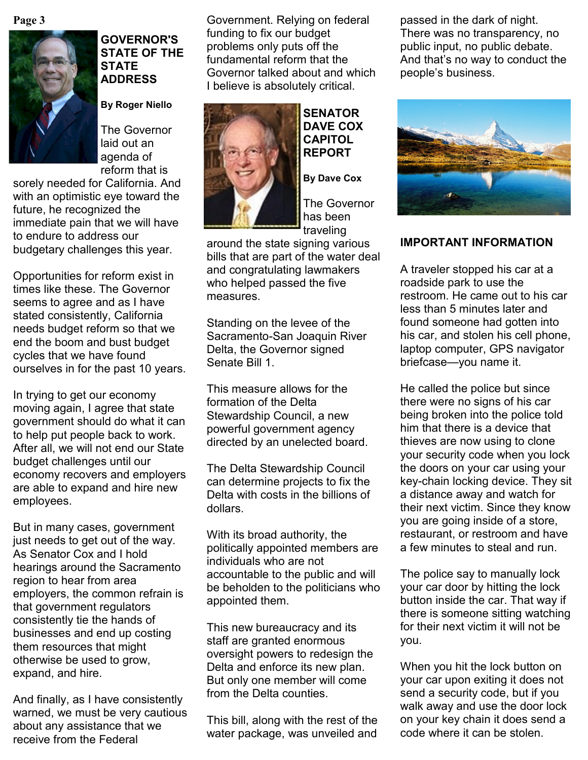**Page 3**



## **GOVERNOR'S STATE OF THE STATE ADDRESS**

**By Roger Niello**

The Governor laid out an agenda of reform that is

sorely needed for California. And with an optimistic eye toward the future, he recognized the immediate pain that we will have to endure to address our budgetary challenges this year.

Opportunities for reform exist in times like these. The Governor seems to agree and as I have stated consistently, California needs budget reform so that we end the boom and bust budget cycles that we have found ourselves in for the past 10 years.

In trying to get our economy moving again, I agree that state government should do what it can to help put people back to work. After all, we will not end our State budget challenges until our economy recovers and employers are able to expand and hire new employees.

But in many cases, government just needs to get out of the way. As Senator Cox and I hold hearings around the Sacramento region to hear from area employers, the common refrain is that government regulators consistently tie the hands of businesses and end up costing them resources that might otherwise be used to grow, expand, and hire.

And finally, as I have consistently warned, we must be very cautious about any assistance that we receive from the Federal

Government. Relying on federal funding to fix our budget problems only puts off the fundamental reform that the Governor talked about and which I believe is absolutely critical.



**SENATOR DAVE COX CAPITOL REPORT**

**By Dave Cox**

The Governor has been traveling

around the state signing various bills that are part of the water deal and congratulating lawmakers who helped passed the five measures.

Standing on the levee of the Sacramento-San Joaquin River Delta, the Governor signed Senate Bill 1.

This measure allows for the formation of the Delta Stewardship Council, a new powerful government agency directed by an unelected board.

The Delta Stewardship Council can determine projects to fix the Delta with costs in the billions of dollars.

With its broad authority, the politically appointed members are individuals who are not accountable to the public and will be beholden to the politicians who appointed them.

This new bureaucracy and its staff are granted enormous oversight powers to redesign the Delta and enforce its new plan. But only one member will come from the Delta counties.

This bill, along with the rest of the water package, was unveiled and passed in the dark of night. There was no transparency, no public input, no public debate. And that's no way to conduct the people's business.



## **IMPORTANT INFORMATION**

A traveler stopped his car at a roadside park to use the restroom. He came out to his car less than 5 minutes later and found someone had gotten into his car, and stolen his cell phone, laptop computer, GPS navigator briefcase—you name it.

He called the police but since there were no signs of his car being broken into the police told him that there is a device that thieves are now using to clone your security code when you lock the doors on your car using your key-chain locking device. They sit a distance away and watch for their next victim. Since they know you are going inside of a store, restaurant, or restroom and have a few minutes to steal and run.

The police say to manually lock your car door by hitting the lock button inside the car. That way if there is someone sitting watching for their next victim it will not be you.

When you hit the lock button on your car upon exiting it does not send a security code, but if you walk away and use the door lock on your key chain it does send a code where it can be stolen.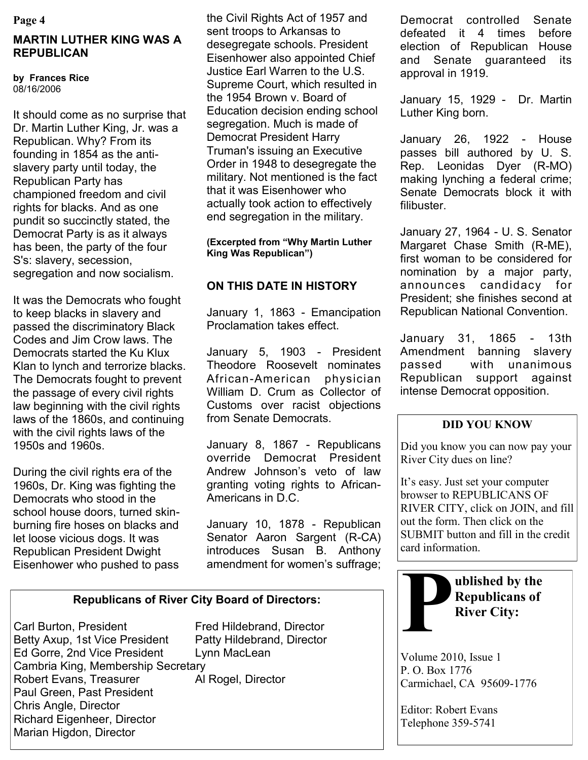#### **Page 4**

## **MARTIN LUTHER KING WAS A REPUBLICAN**

**by Frances Rice** 08/16/2006

It should come as no surprise that Dr. Martin Luther King, Jr. was a Republican. Why? From its founding in 1854 as the antislavery party until today, the Republican Party has championed freedom and civil rights for blacks. And as one pundit so succinctly stated, the Democrat Party is as it always has been, the party of the four S's: slavery, secession, segregation and now socialism.

It was the Democrats who fought to keep blacks in slavery and passed the discriminatory Black Codes and Jim Crow laws. The Democrats started the Ku Klux Klan to lynch and terrorize blacks. The Democrats fought to prevent the passage of every civil rights law beginning with the civil rights laws of the 1860s, and continuing with the civil rights laws of the 1950s and 1960s.

During the civil rights era of the 1960s, Dr. King was fighting the Democrats who stood in the school house doors, turned skinburning fire hoses on blacks and let loose vicious dogs. It was Republican President Dwight Eisenhower who pushed to pass

the Civil Rights Act of 1957 and sent troops to Arkansas to desegregate schools. President Eisenhower also appointed Chief Justice Earl Warren to the U.S. Supreme Court, which resulted in the 1954 Brown v. Board of Education decision ending school segregation. Much is made of Democrat President Harry Truman's issuing an Executive Order in 1948 to desegregate the military. Not mentioned is the fact that it was Eisenhower who actually took action to effectively end segregation in the military.

**(Excerpted from "Why Martin Luther King Was Republican")**

## **ON THIS DATE IN HISTORY**

January 1, 1863 - Emancipation Proclamation takes effect.

January 5, 1903 - President Theodore Roosevelt nominates African-American physician William D. Crum as Collector of Customs over racist objections from Senate Democrats.

January 8, 1867 - Republicans override Democrat President Andrew Johnson's veto of law granting voting rights to African-Americans in D.C.

January 10, 1878 - Republican Senator Aaron Sargent (R-CA) introduces Susan B. Anthony amendment for women's suffrage;

## **Republicans of River City Board of Directors:**

Carl Burton, President Fred Hildebrand, Director Betty Axup, 1st Vice President Patty Hildebrand, Director Ed Gorre, 2nd Vice President Lynn MacLean Cambria King, Membership Secretary Robert Evans, Treasurer **Al Rogel, Director** Paul Green, Past President Chris Angle, Director Richard Eigenheer, Director Marian Higdon, Director

Democrat controlled Senate defeated it 4 times before election of Republican House and Senate guaranteed its approval in 1919.

January 15, 1929 - Dr. Martin Luther King born.

January 26, 1922 - House passes bill authored by U. S. Rep. Leonidas Dyer (R-MO) making lynching a federal crime; Senate Democrats block it with filibuster.

January 27, 1964 - U. S. Senator Margaret Chase Smith (R-ME), first woman to be considered for nomination by a major party, announces candidacy for President; she finishes second at Republican National Convention.

January 31, 1865 - 13th Amendment banning slavery passed with unanimous Republican support against intense Democrat opposition.

## **DID YOU KNOW**

Did you know you can now pay your River City dues on line?

It's easy. Just set your computer browser to REPUBLICANS OF RIVER CITY, click on JOIN, and fill out the form. Then click on the SUBMIT button and fill in the credit card information.



**River City:**

Volume 2010, Issue 1 P. O. Box 1776 Carmichael, CA 95609-1776

Editor: Robert Evans Telephone 359-5741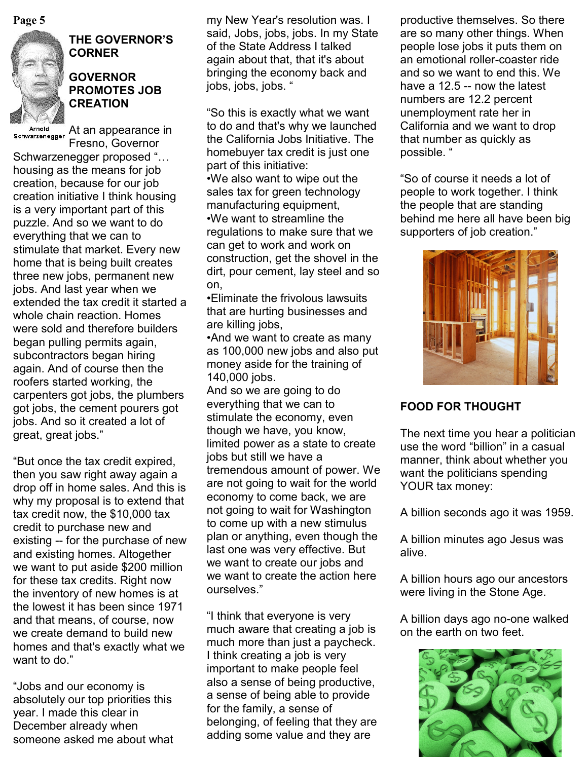

## **THE GOVERNOR'S CORNER**

### **GOVERNOR PROMOTES JOB CREATION**

Arnold Arnold At an appearance in Fresno, Governor

Schwarzenegger proposed "… housing as the means for job creation, because for our job creation initiative I think housing is a very important part of this puzzle. And so we want to do everything that we can to stimulate that market. Every new home that is being built creates three new jobs, permanent new jobs. And last year when we extended the tax credit it started a whole chain reaction. Homes were sold and therefore builders began pulling permits again, subcontractors began hiring again. And of course then the roofers started working, the carpenters got jobs, the plumbers got jobs, the cement pourers got jobs. And so it created a lot of great, great jobs."

"But once the tax credit expired, then you saw right away again a drop off in home sales. And this is why my proposal is to extend that tax credit now, the \$10,000 tax credit to purchase new and existing -- for the purchase of new and existing homes. Altogether we want to put aside \$200 million for these tax credits. Right now the inventory of new homes is at the lowest it has been since 1971 and that means, of course, now we create demand to build new homes and that's exactly what we want to do."

"Jobs and our economy is absolutely our top priorities this year. I made this clear in December already when someone asked me about what

**Page 5 productive themselves.** So there in the my New Year's resolution was. I productive themselves. So there said, Jobs, jobs, jobs. In my State of the State Address I talked again about that, that it's about bringing the economy back and jobs, jobs, jobs. "

> "So this is exactly what we want to do and that's why we launched the California Jobs Initiative. The homebuyer tax credit is just one part of this initiative: •We also want to wipe out the sales tax for green technology manufacturing equipment, •We want to streamline the regulations to make sure that we can get to work and work on construction, get the shovel in the dirt, pour cement, lay steel and so on,

•Eliminate the frivolous lawsuits that are hurting businesses and are killing jobs,

•And we want to create as many as 100,000 new jobs and also put money aside for the training of 140,000 jobs.

And so we are going to do everything that we can to stimulate the economy, even though we have, you know, limited power as a state to create jobs but still we have a tremendous amount of power. We are not going to wait for the world economy to come back, we are not going to wait for Washington to come up with a new stimulus plan or anything, even though the last one was very effective. But we want to create our jobs and we want to create the action here ourselves."

"I think that everyone is very much aware that creating a job is much more than just a paycheck. I think creating a job is very important to make people feel also a sense of being productive, a sense of being able to provide for the family, a sense of belonging, of feeling that they are adding some value and they are

are so many other things. When people lose jobs it puts them on an emotional roller-coaster ride and so we want to end this. We have a 12.5 -- now the latest numbers are 12.2 percent unemployment rate her in California and we want to drop that number as quickly as possible. "

"So of course it needs a lot of people to work together. I think the people that are standing behind me here all have been big supporters of job creation."



## **FOOD FOR THOUGHT**

The next time you hear a politician use the word "billion" in a casual manner, think about whether you want the politicians spending YOUR tax money:

A billion seconds ago it was 1959.

A billion minutes ago Jesus was alive.

A billion hours ago our ancestors were living in the Stone Age.

A billion days ago no-one walked on the earth on two feet.